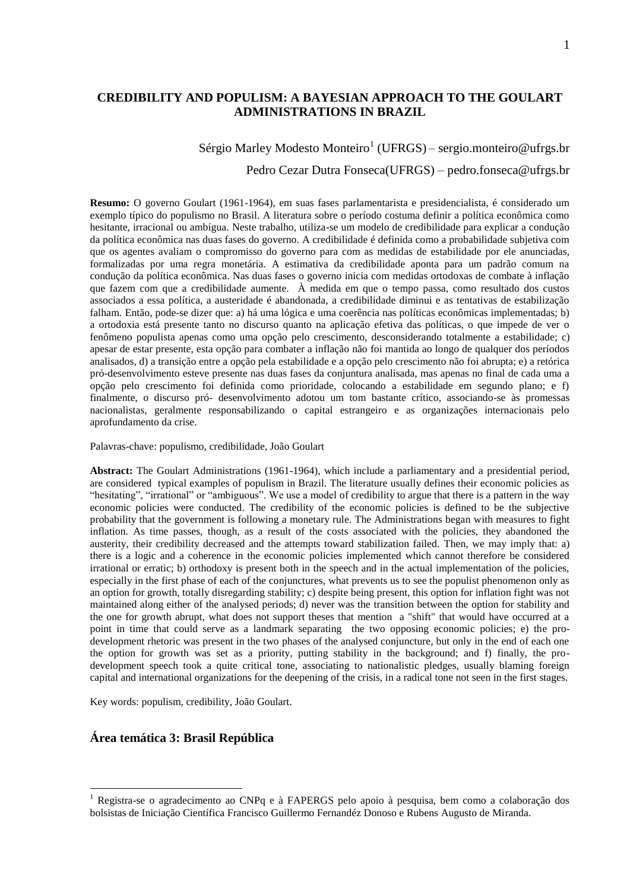# **CREDIBILITY AND POPULISM: A BAYESIAN APPROACH TO THE GOULART ADMINISTRATIONS IN BRAZIL**

Sérgio Marley Modesto Monteiro<sup>1</sup> (UFRGS) – [sergio.monteiro@ufrgs.br](mailto:sergio.monteiro@ufrgs.br)

Pedro Cezar Dutra Fonseca(UFRGS) – pedro.fonseca@ufrgs.br

**Resumo:** O governo Goulart (1961-1964), em suas fases parlamentarista e presidencialista, é considerado um exemplo típico do populismo no Brasil. A literatura sobre o período costuma definir a política econômica como hesitante, irracional ou ambígua. Neste trabalho, utiliza-se um modelo de credibilidade para explicar a condução da política econômica nas duas fases do governo. A credibilidade é definida como a probabilidade subjetiva com que os agentes avaliam o compromisso do governo para com as medidas de estabilidade por ele anunciadas, formalizadas por uma regra monetária. A estimativa da credibilidade aponta para um padrão comum na condução da política econômica. Nas duas fases o governo inicia com medidas ortodoxas de combate à inflação que fazem com que a credibilidade aumente. À medida em que o tempo passa, como resultado dos custos associados a essa política, a austeridade é abandonada, a credibilidade diminui e as tentativas de estabilização falham. Então, pode-se dizer que: a) há uma lógica e uma coerência nas políticas econômicas implementadas; b) a ortodoxia está presente tanto no discurso quanto na aplicação efetiva das políticas, o que impede de ver o fenômeno populista apenas como uma opção pelo crescimento, desconsiderando totalmente a estabilidade; c) apesar de estar presente, esta opção para combater a inflação não foi mantida ao longo de qualquer dos períodos analisados, d) a transição entre a opção pela estabilidade e a opção pelo crescimento não foi abrupta; e) a retórica pró-desenvolvimento esteve presente nas duas fases da conjuntura analisada, mas apenas no final de cada uma a opção pelo crescimento foi definida como prioridade, colocando a estabilidade em segundo plano; e f) finalmente, o discurso pró- desenvolvimento adotou um tom bastante crítico, associando-se às promessas nacionalistas, geralmente responsabilizando o capital estrangeiro e as organizações internacionais pelo aprofundamento da crise.

Palavras-chave: populismo, credibilidade, João Goulart

**Abstract:** The Goulart Administrations (1961-1964), which include a parliamentary and a presidential period, are considered typical examples of populism in Brazil. The literature usually defines their economic policies as "hesitating", "irrational" or "ambiguous". We use a model of credibility to argue that there is a pattern in the way economic policies were conducted. The credibility of the economic policies is defined to be the subjective probability that the government is following a monetary rule. The Administrations began with measures to fight inflation. As time passes, though, as a result of the costs associated with the policies, they abandoned the austerity, their credibility decreased and the attempts toward stabilization failed. Then, we may imply that: a) there is a logic and a coherence in the economic policies implemented which cannot therefore be considered irrational or erratic; b) orthodoxy is present both in the speech and in the actual implementation of the policies, especially in the first phase of each of the conjunctures, what prevents us to see the populist phenomenon only as an option for growth, totally disregarding stability; c) despite being present, this option for inflation fight was not maintained along either of the analysed periods; d) never was the transition between the option for stability and the one for growth abrupt, what does not support theses that mention a "shift" that would have occurred at a point in time that could serve as a landmark separating the two opposing economic policies; e) the prodevelopment rhetoric was present in the two phases of the analysed conjuncture, but only in the end of each one the option for growth was set as a priority, putting stability in the background; and f) finally, the prodevelopment speech took a quite critical tone, associating to nationalistic pledges, usually blaming foreign capital and international organizations for the deepening of the crisis, in a radical tone not seen in the first stages.

Key words: populism, credibility, João Goulart.

## **Área temática 3: Brasil República**

<u>.</u>

<sup>1</sup> Registra-se o agradecimento ao CNPq e à FAPERGS pelo apoio à pesquisa, bem como a colaboração dos bolsistas de Iniciação Científica Francisco Guillermo Fernandéz Donoso e Rubens Augusto de Miranda.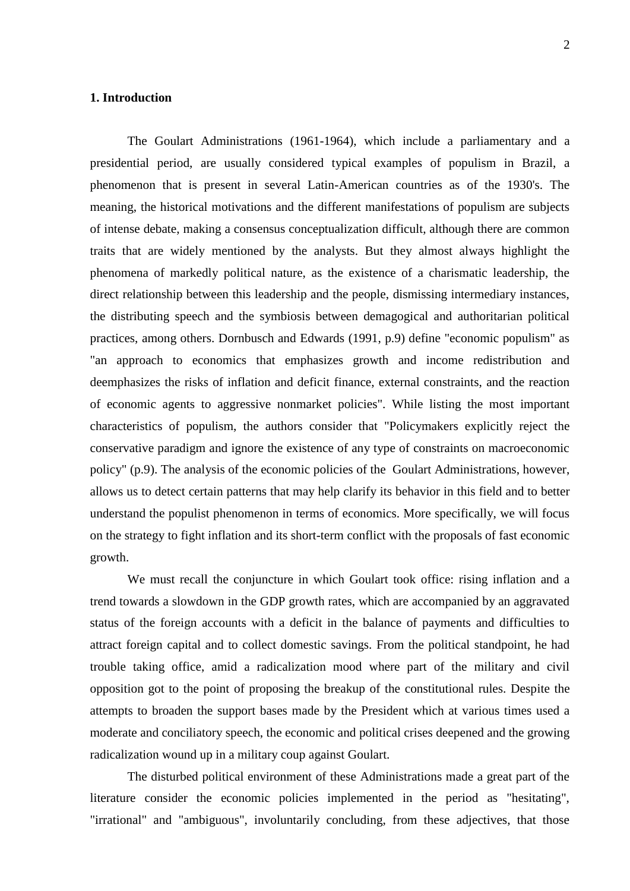### **1. Introduction**

The Goulart Administrations (1961-1964), which include a parliamentary and a presidential period, are usually considered typical examples of populism in Brazil, a phenomenon that is present in several Latin-American countries as of the 1930's. The meaning, the historical motivations and the different manifestations of populism are subjects of intense debate, making a consensus conceptualization difficult, although there are common traits that are widely mentioned by the analysts. But they almost always highlight the phenomena of markedly political nature, as the existence of a charismatic leadership, the direct relationship between this leadership and the people, dismissing intermediary instances, the distributing speech and the symbiosis between demagogical and authoritarian political practices, among others. Dornbusch and Edwards (1991, p.9) define "economic populism" as "an approach to economics that emphasizes growth and income redistribution and deemphasizes the risks of inflation and deficit finance, external constraints, and the reaction of economic agents to aggressive nonmarket policies". While listing the most important characteristics of populism, the authors consider that "Policymakers explicitly reject the conservative paradigm and ignore the existence of any type of constraints on macroeconomic policy" (p.9). The analysis of the economic policies of the Goulart Administrations, however, allows us to detect certain patterns that may help clarify its behavior in this field and to better understand the populist phenomenon in terms of economics. More specifically, we will focus on the strategy to fight inflation and its short-term conflict with the proposals of fast economic growth.

We must recall the conjuncture in which Goulart took office: rising inflation and a trend towards a slowdown in the GDP growth rates, which are accompanied by an aggravated status of the foreign accounts with a deficit in the balance of payments and difficulties to attract foreign capital and to collect domestic savings. From the political standpoint, he had trouble taking office, amid a radicalization mood where part of the military and civil opposition got to the point of proposing the breakup of the constitutional rules. Despite the attempts to broaden the support bases made by the President which at various times used a moderate and conciliatory speech, the economic and political crises deepened and the growing radicalization wound up in a military coup against Goulart.

The disturbed political environment of these Administrations made a great part of the literature consider the economic policies implemented in the period as "hesitating", "irrational" and "ambiguous", involuntarily concluding, from these adjectives, that those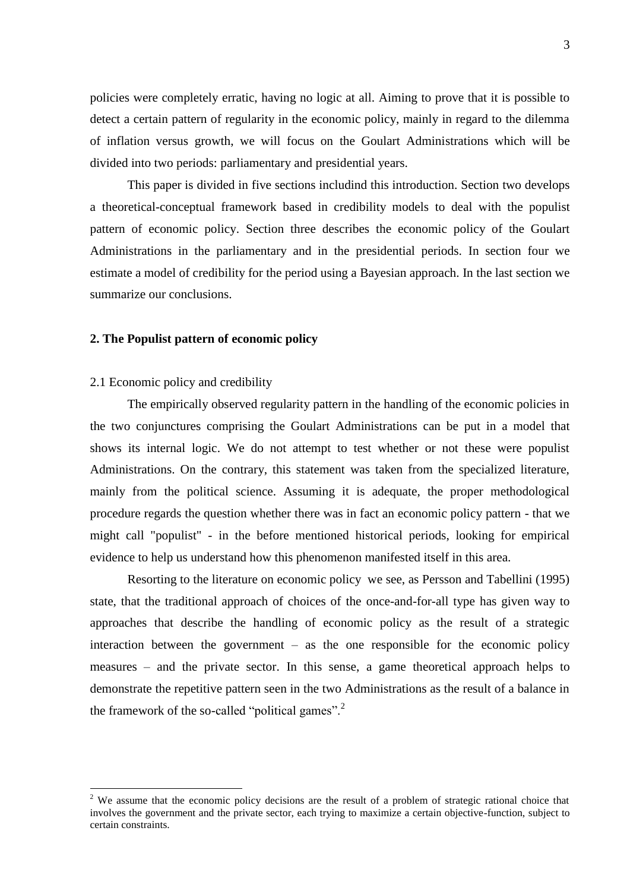policies were completely erratic, having no logic at all. Aiming to prove that it is possible to detect a certain pattern of regularity in the economic policy, mainly in regard to the dilemma of inflation versus growth, we will focus on the Goulart Administrations which will be divided into two periods: parliamentary and presidential years.

This paper is divided in five sections includind this introduction. Section two develops a theoretical-conceptual framework based in credibility models to deal with the populist pattern of economic policy. Section three describes the economic policy of the Goulart Administrations in the parliamentary and in the presidential periods. In section four we estimate a model of credibility for the period using a Bayesian approach. In the last section we summarize our conclusions.

### **2. The Populist pattern of economic policy**

#### 2.1 Economic policy and credibility

<u>.</u>

The empirically observed regularity pattern in the handling of the economic policies in the two conjunctures comprising the Goulart Administrations can be put in a model that shows its internal logic. We do not attempt to test whether or not these were populist Administrations. On the contrary, this statement was taken from the specialized literature, mainly from the political science. Assuming it is adequate, the proper methodological procedure regards the question whether there was in fact an economic policy pattern - that we might call "populist" - in the before mentioned historical periods, looking for empirical evidence to help us understand how this phenomenon manifested itself in this area.

Resorting to the literature on economic policy we see, as Persson and Tabellini (1995) state, that the traditional approach of choices of the once-and-for-all type has given way to approaches that describe the handling of economic policy as the result of a strategic interaction between the government – as the one responsible for the economic policy measures – and the private sector. In this sense, a game theoretical approach helps to demonstrate the repetitive pattern seen in the two Administrations as the result of a balance in the framework of the so-called "political games". $2$ 

<sup>&</sup>lt;sup>2</sup> We assume that the economic policy decisions are the result of a problem of strategic rational choice that involves the government and the private sector, each trying to maximize a certain objective-function, subject to certain constraints.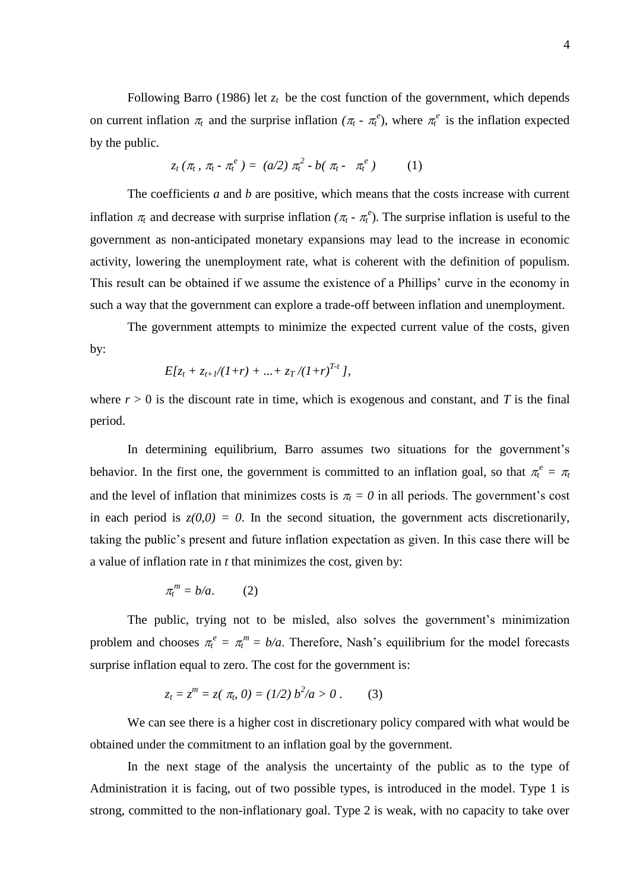Following Barro (1986) let  $z_t$  be the cost function of the government, which depends on current inflation  $\pi_t$  and the surprise inflation ( $\pi_t$  -  $\pi_t^e$ ), where  $\pi_t^e$  is the inflation expected by the public.

$$
z_t(\pi_t, \pi_t - \pi_t^e) = (a/2) \pi_t^2 - b(\pi_t - \pi_t^e) \qquad (1)
$$

The coefficients *a* and *b* are positive, which means that the costs increase with current inflation  $\pi_t$  and decrease with surprise inflation  $(\pi_t \cdot \pi_t^e)$ . The surprise inflation is useful to the government as non-anticipated monetary expansions may lead to the increase in economic activity, lowering the unemployment rate, what is coherent with the definition of populism. This result can be obtained if we assume the existence of a Phillips' curve in the economy in such a way that the government can explore a trade-off between inflation and unemployment.

The government attempts to minimize the expected current value of the costs, given by:

$$
E[z_t + z_{t+1}/(1+r) + ... + z_T/(1+r)^{T-t}],
$$

where  $r > 0$  is the discount rate in time, which is exogenous and constant, and T is the final period.

In determining equilibrium, Barro assumes two situations for the government's behavior. In the first one, the government is committed to an inflation goal, so that  $\pi_t^e = \pi_t$ and the level of inflation that minimizes costs is  $\pi_t = 0$  in all periods. The government's cost in each period is  $z(0,0) = 0$ . In the second situation, the government acts discretionarily, taking the public"s present and future inflation expectation as given. In this case there will be a value of inflation rate in *t* that minimizes the cost, given by:

$$
\pi_t^m = b/a. \qquad (2)
$$

The public, trying not to be misled, also solves the government's minimization problem and chooses  $\pi_i^e = \pi_i^m = b/a$ . Therefore, Nash's equilibrium for the model forecasts surprise inflation equal to zero. The cost for the government is:

$$
z_t = z^m = z(\pi_b, 0) = (1/2) b^2/a > 0.
$$
 (3)

We can see there is a higher cost in discretionary policy compared with what would be obtained under the commitment to an inflation goal by the government.

In the next stage of the analysis the uncertainty of the public as to the type of Administration it is facing, out of two possible types, is introduced in the model. Type 1 is strong, committed to the non-inflationary goal. Type 2 is weak, with no capacity to take over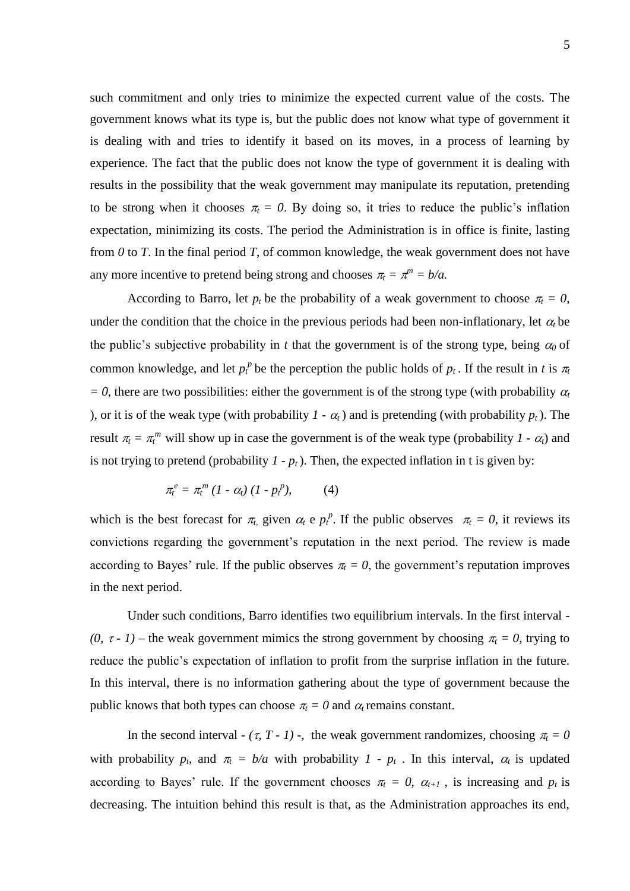such commitment and only tries to minimize the expected current value of the costs. The government knows what its type is, but the public does not know what type of government it is dealing with and tries to identify it based on its moves, in a process of learning by experience. The fact that the public does not know the type of government it is dealing with results in the possibility that the weak government may manipulate its reputation, pretending to be strong when it chooses  $\pi_t = 0$ . By doing so, it tries to reduce the public's inflation expectation, minimizing its costs. The period the Administration is in office is finite, lasting from *0* to *T*. In the final period *T*, of common knowledge, the weak government does not have any more incentive to pretend being strong and chooses  $\pi_t = \pi^m = b/a$ .

According to Barro, let  $p_t$  be the probability of a weak government to choose  $\pi_t = 0$ , under the condition that the choice in the previous periods had been non-inflationary, let  $\alpha_t$  be the public's subjective probability in *t* that the government is of the strong type, being  $\alpha_0$  of common knowledge, and let  $p_t^p$  be the perception the public holds of  $p_t$ . If the result in *t* is  $\pi_t$  $= 0$ , there are two possibilities: either the government is of the strong type (with probability  $\alpha_t$ ), or it is of the weak type (with probability  $I - \alpha_t$ ) and is pretending (with probability  $p_t$ ). The result  $\pi_t = \pi_t^m$  will show up in case the government is of the weak type (probability  $I \cdot \alpha_t$ ) and is not trying to pretend (probability  $I - p_t$ ). Then, the expected inflation in t is given by:

$$
\pi_t^e = \pi_t^m \left(1 - \alpha_t\right) \left(1 - p_t^p\right), \tag{4}
$$

which is the best forecast for  $\pi$ , given  $\alpha$  e  $p_t^p$ . If the public observes  $\pi$  = 0, it reviews its convictions regarding the government's reputation in the next period. The review is made according to Bayes' rule. If the public observes  $\pi_t = 0$ , the government's reputation improves in the next period.

Under such conditions, Barro identifies two equilibrium intervals. In the first interval - *(0,*  $\tau$  *- 1)* – the weak government mimics the strong government by choosing  $\pi_t = 0$ , trying to reduce the public's expectation of inflation to profit from the surprise inflation in the future. In this interval, there is no information gathering about the type of government because the public knows that both types can choose  $\pi_t = 0$  and  $\alpha_t$  remains constant.

In the second interval -  $(\tau, T - I)$  -, the weak government randomizes, choosing  $\pi_t = 0$ with probability  $p_t$ , and  $\pi_t = b/a$  with probability  $1 - p_t$ . In this interval,  $\alpha_t$  is updated according to Bayes' rule. If the government chooses  $\pi_t = 0$ ,  $\alpha_{t+1}$ , is increasing and  $p_t$  is decreasing. The intuition behind this result is that, as the Administration approaches its end,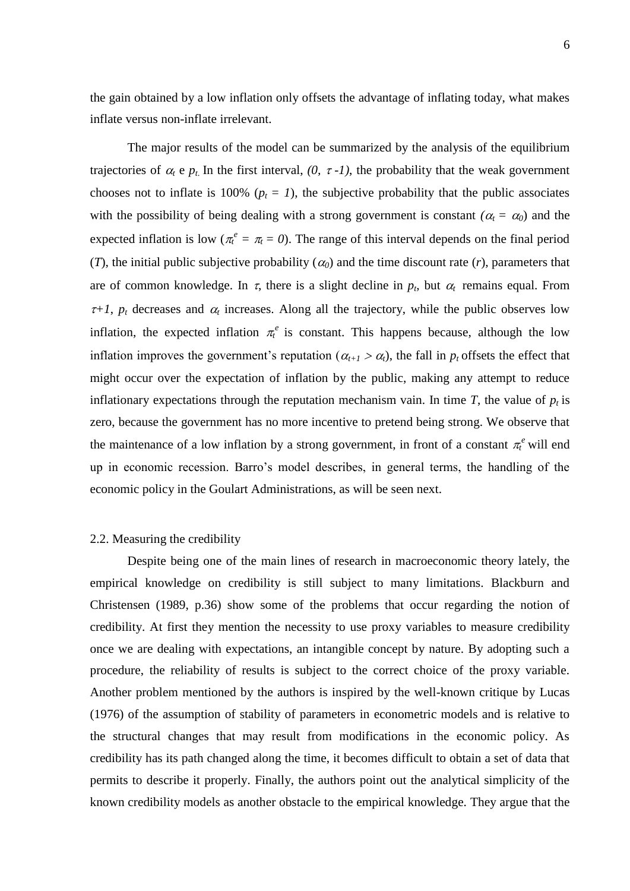6

the gain obtained by a low inflation only offsets the advantage of inflating today, what makes inflate versus non-inflate irrelevant.

The major results of the model can be summarized by the analysis of the equilibrium trajectories of  $\alpha_t$  e  $p_t$ . In the first interval,  $(0, \tau -1)$ , the probability that the weak government chooses not to inflate is 100% ( $p_t = 1$ ), the subjective probability that the public associates with the possibility of being dealing with a strong government is constant  $(a_t = a_0)$  and the expected inflation is low ( $\pi_t^e = \pi_t = 0$ ). The range of this interval depends on the final period (*T*), the initial public subjective probability ( $\alpha_0$ ) and the time discount rate (*r*), parameters that are of common knowledge. In  $\tau$ , there is a slight decline in  $p_t$ , but  $\alpha_t$  remains equal. From  $\tau+1$ ,  $p_t$  decreases and  $\alpha_t$  increases. Along all the trajectory, while the public observes low inflation, the expected inflation  $\pi_t^e$  is constant. This happens because, although the low inflation improves the government's reputation ( $\alpha_{t+1} > \alpha_t$ ), the fall in  $p_t$  offsets the effect that might occur over the expectation of inflation by the public, making any attempt to reduce inflationary expectations through the reputation mechanism vain. In time *T*, the value of  $p_t$  is zero, because the government has no more incentive to pretend being strong. We observe that the maintenance of a low inflation by a strong government, in front of a constant  $\pi_t^e$  will end up in economic recession. Barro"s model describes, in general terms, the handling of the economic policy in the Goulart Administrations, as will be seen next.

### 2.2. Measuring the credibility

Despite being one of the main lines of research in macroeconomic theory lately, the empirical knowledge on credibility is still subject to many limitations. Blackburn and Christensen (1989, p.36) show some of the problems that occur regarding the notion of credibility. At first they mention the necessity to use proxy variables to measure credibility once we are dealing with expectations, an intangible concept by nature. By adopting such a procedure, the reliability of results is subject to the correct choice of the proxy variable. Another problem mentioned by the authors is inspired by the well-known critique by Lucas (1976) of the assumption of stability of parameters in econometric models and is relative to the structural changes that may result from modifications in the economic policy. As credibility has its path changed along the time, it becomes difficult to obtain a set of data that permits to describe it properly. Finally, the authors point out the analytical simplicity of the known credibility models as another obstacle to the empirical knowledge. They argue that the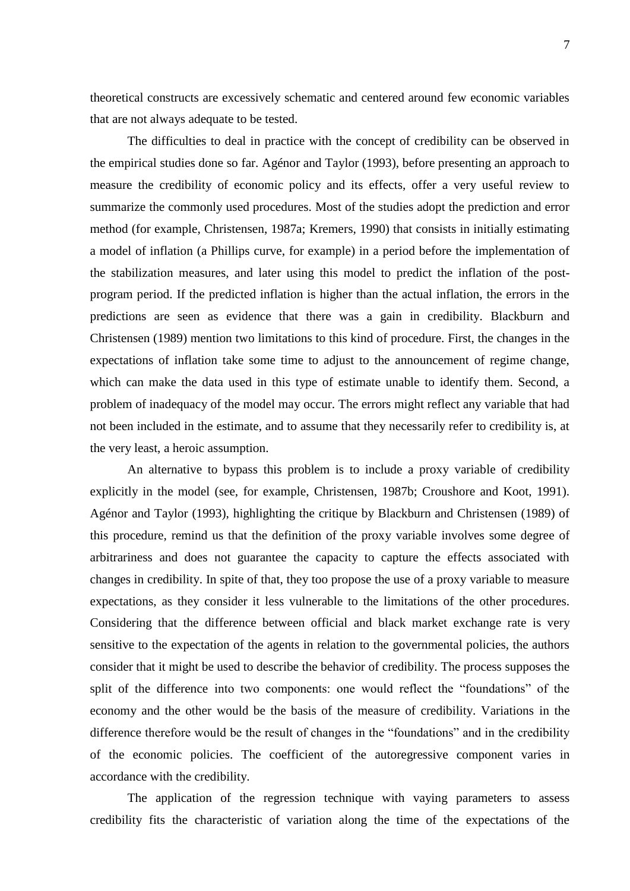theoretical constructs are excessively schematic and centered around few economic variables that are not always adequate to be tested.

The difficulties to deal in practice with the concept of credibility can be observed in the empirical studies done so far. Agénor and Taylor (1993), before presenting an approach to measure the credibility of economic policy and its effects, offer a very useful review to summarize the commonly used procedures. Most of the studies adopt the prediction and error method (for example, Christensen, 1987a; Kremers, 1990) that consists in initially estimating a model of inflation (a Phillips curve, for example) in a period before the implementation of the stabilization measures, and later using this model to predict the inflation of the postprogram period. If the predicted inflation is higher than the actual inflation, the errors in the predictions are seen as evidence that there was a gain in credibility. Blackburn and Christensen (1989) mention two limitations to this kind of procedure. First, the changes in the expectations of inflation take some time to adjust to the announcement of regime change, which can make the data used in this type of estimate unable to identify them. Second, a problem of inadequacy of the model may occur. The errors might reflect any variable that had not been included in the estimate, and to assume that they necessarily refer to credibility is, at the very least, a heroic assumption.

An alternative to bypass this problem is to include a proxy variable of credibility explicitly in the model (see, for example, Christensen, 1987b; Croushore and Koot, 1991). Agénor and Taylor (1993), highlighting the critique by Blackburn and Christensen (1989) of this procedure, remind us that the definition of the proxy variable involves some degree of arbitrariness and does not guarantee the capacity to capture the effects associated with changes in credibility. In spite of that, they too propose the use of a proxy variable to measure expectations, as they consider it less vulnerable to the limitations of the other procedures. Considering that the difference between official and black market exchange rate is very sensitive to the expectation of the agents in relation to the governmental policies, the authors consider that it might be used to describe the behavior of credibility. The process supposes the split of the difference into two components: one would reflect the "foundations" of the economy and the other would be the basis of the measure of credibility. Variations in the difference therefore would be the result of changes in the "foundations" and in the credibility of the economic policies. The coefficient of the autoregressive component varies in accordance with the credibility.

The application of the regression technique with vaying parameters to assess credibility fits the characteristic of variation along the time of the expectations of the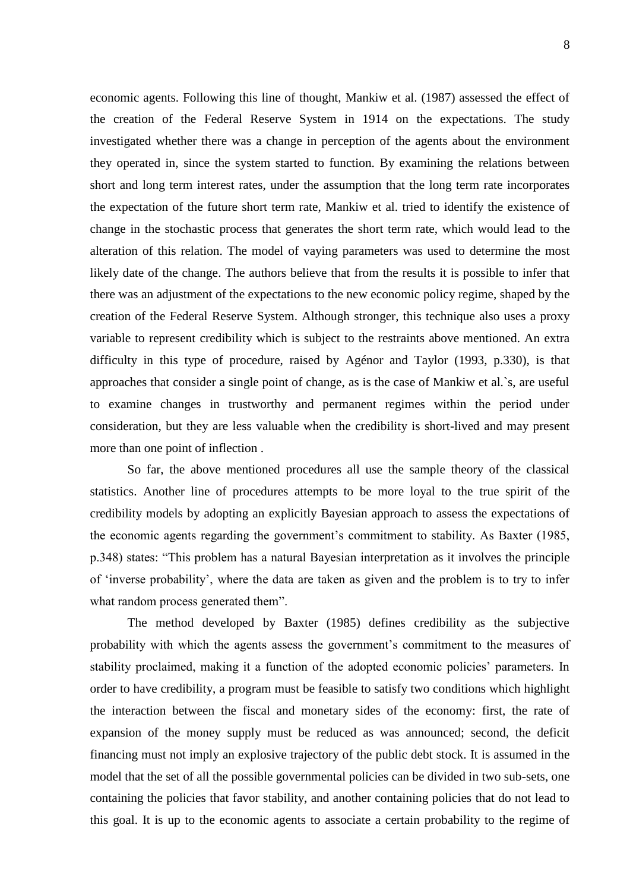economic agents. Following this line of thought, Mankiw et al. (1987) assessed the effect of the creation of the Federal Reserve System in 1914 on the expectations. The study investigated whether there was a change in perception of the agents about the environment they operated in, since the system started to function. By examining the relations between short and long term interest rates, under the assumption that the long term rate incorporates the expectation of the future short term rate, Mankiw et al. tried to identify the existence of change in the stochastic process that generates the short term rate, which would lead to the alteration of this relation. The model of vaying parameters was used to determine the most likely date of the change. The authors believe that from the results it is possible to infer that there was an adjustment of the expectations to the new economic policy regime, shaped by the creation of the Federal Reserve System. Although stronger, this technique also uses a proxy variable to represent credibility which is subject to the restraints above mentioned. An extra difficulty in this type of procedure, raised by Agénor and Taylor (1993, p.330), is that approaches that consider a single point of change, as is the case of Mankiw et al.`s, are useful to examine changes in trustworthy and permanent regimes within the period under consideration, but they are less valuable when the credibility is short-lived and may present more than one point of inflection .

So far, the above mentioned procedures all use the sample theory of the classical statistics. Another line of procedures attempts to be more loyal to the true spirit of the credibility models by adopting an explicitly Bayesian approach to assess the expectations of the economic agents regarding the government's commitment to stability. As Baxter (1985, p.348) states: "This problem has a natural Bayesian interpretation as it involves the principle of "inverse probability", where the data are taken as given and the problem is to try to infer what random process generated them".

The method developed by Baxter (1985) defines credibility as the subjective probability with which the agents assess the government's commitment to the measures of stability proclaimed, making it a function of the adopted economic policies' parameters. In order to have credibility, a program must be feasible to satisfy two conditions which highlight the interaction between the fiscal and monetary sides of the economy: first, the rate of expansion of the money supply must be reduced as was announced; second, the deficit financing must not imply an explosive trajectory of the public debt stock. It is assumed in the model that the set of all the possible governmental policies can be divided in two sub-sets, one containing the policies that favor stability, and another containing policies that do not lead to this goal. It is up to the economic agents to associate a certain probability to the regime of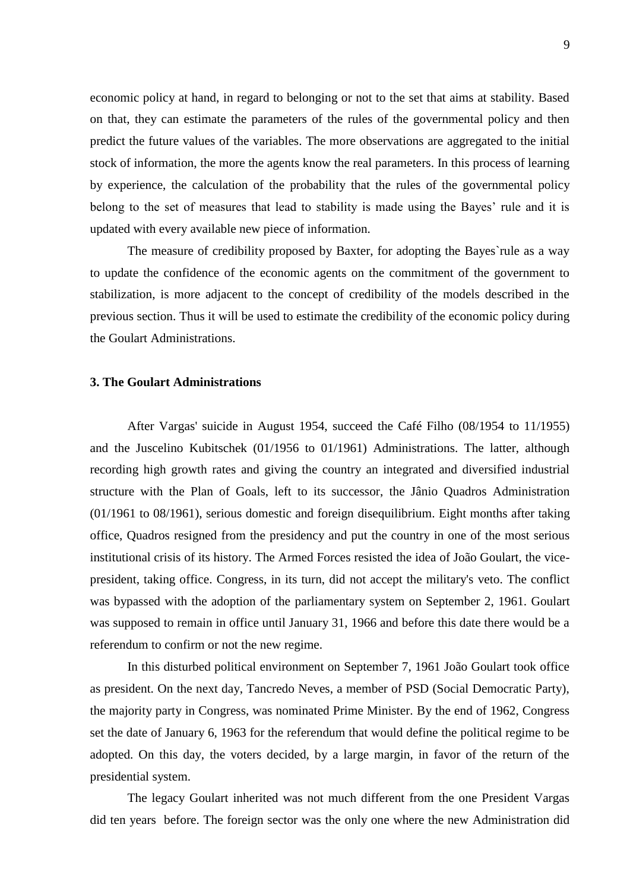economic policy at hand, in regard to belonging or not to the set that aims at stability. Based on that, they can estimate the parameters of the rules of the governmental policy and then predict the future values of the variables. The more observations are aggregated to the initial stock of information, the more the agents know the real parameters. In this process of learning by experience, the calculation of the probability that the rules of the governmental policy belong to the set of measures that lead to stability is made using the Bayes' rule and it is updated with every available new piece of information.

The measure of credibility proposed by Baxter, for adopting the Bayes`rule as a way to update the confidence of the economic agents on the commitment of the government to stabilization, is more adjacent to the concept of credibility of the models described in the previous section. Thus it will be used to estimate the credibility of the economic policy during the Goulart Administrations.

## **3. The Goulart Administrations**

After Vargas' suicide in August 1954, succeed the Café Filho (08/1954 to 11/1955) and the Juscelino Kubitschek (01/1956 to 01/1961) Administrations. The latter, although recording high growth rates and giving the country an integrated and diversified industrial structure with the Plan of Goals, left to its successor, the Jânio Quadros Administration (01/1961 to 08/1961), serious domestic and foreign disequilibrium. Eight months after taking office, Quadros resigned from the presidency and put the country in one of the most serious institutional crisis of its history. The Armed Forces resisted the idea of João Goulart, the vicepresident, taking office. Congress, in its turn, did not accept the military's veto. The conflict was bypassed with the adoption of the parliamentary system on September 2, 1961. Goulart was supposed to remain in office until January 31, 1966 and before this date there would be a referendum to confirm or not the new regime.

In this disturbed political environment on September 7, 1961 João Goulart took office as president. On the next day, Tancredo Neves, a member of PSD (Social Democratic Party), the majority party in Congress, was nominated Prime Minister. By the end of 1962, Congress set the date of January 6, 1963 for the referendum that would define the political regime to be adopted. On this day, the voters decided, by a large margin, in favor of the return of the presidential system.

The legacy Goulart inherited was not much different from the one President Vargas did ten years before. The foreign sector was the only one where the new Administration did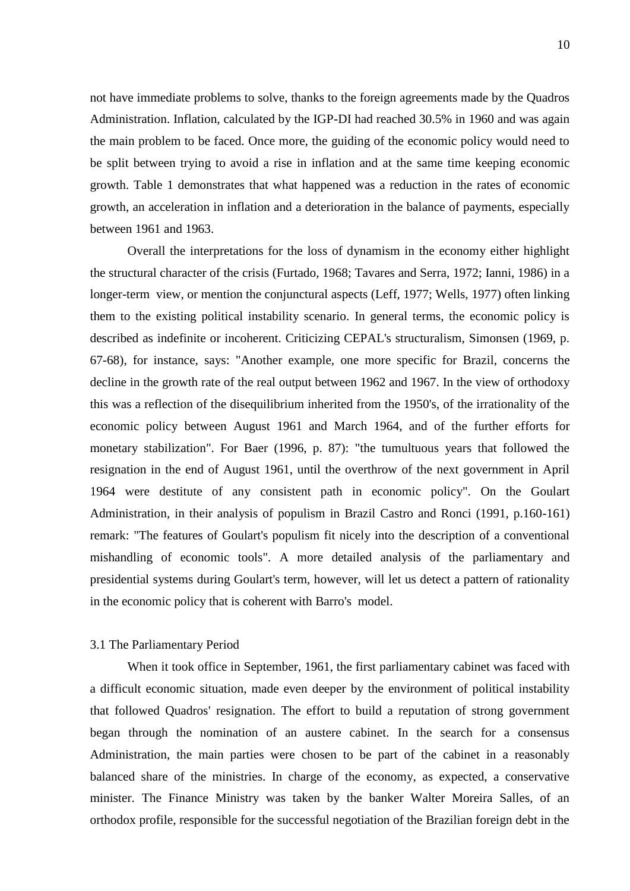not have immediate problems to solve, thanks to the foreign agreements made by the Quadros Administration. Inflation, calculated by the IGP-DI had reached 30.5% in 1960 and was again the main problem to be faced. Once more, the guiding of the economic policy would need to be split between trying to avoid a rise in inflation and at the same time keeping economic growth. Table 1 demonstrates that what happened was a reduction in the rates of economic growth, an acceleration in inflation and a deterioration in the balance of payments, especially between 1961 and 1963.

Overall the interpretations for the loss of dynamism in the economy either highlight the structural character of the crisis (Furtado, 1968; Tavares and Serra, 1972; Ianni, 1986) in a longer-term view, or mention the conjunctural aspects (Leff, 1977; Wells, 1977) often linking them to the existing political instability scenario. In general terms, the economic policy is described as indefinite or incoherent. Criticizing CEPAL's structuralism, Simonsen (1969, p. 67-68), for instance, says: "Another example, one more specific for Brazil, concerns the decline in the growth rate of the real output between 1962 and 1967. In the view of orthodoxy this was a reflection of the disequilibrium inherited from the 1950's, of the irrationality of the economic policy between August 1961 and March 1964, and of the further efforts for monetary stabilization". For Baer (1996, p. 87): "the tumultuous years that followed the resignation in the end of August 1961, until the overthrow of the next government in April 1964 were destitute of any consistent path in economic policy". On the Goulart Administration, in their analysis of populism in Brazil Castro and Ronci (1991, p.160-161) remark: "The features of Goulart's populism fit nicely into the description of a conventional mishandling of economic tools". A more detailed analysis of the parliamentary and presidential systems during Goulart's term, however, will let us detect a pattern of rationality in the economic policy that is coherent with Barro's model.

#### 3.1 The Parliamentary Period

When it took office in September, 1961, the first parliamentary cabinet was faced with a difficult economic situation, made even deeper by the environment of political instability that followed Quadros' resignation. The effort to build a reputation of strong government began through the nomination of an austere cabinet. In the search for a consensus Administration, the main parties were chosen to be part of the cabinet in a reasonably balanced share of the ministries. In charge of the economy, as expected, a conservative minister. The Finance Ministry was taken by the banker Walter Moreira Salles, of an orthodox profile, responsible for the successful negotiation of the Brazilian foreign debt in the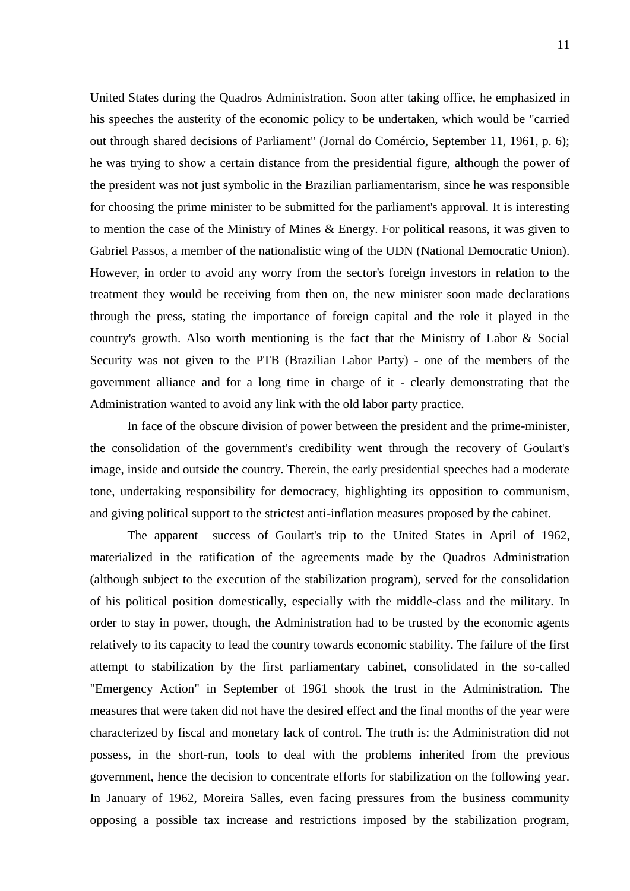United States during the Quadros Administration. Soon after taking office, he emphasized in his speeches the austerity of the economic policy to be undertaken, which would be "carried out through shared decisions of Parliament" (Jornal do Comércio, September 11, 1961, p. 6); he was trying to show a certain distance from the presidential figure, although the power of the president was not just symbolic in the Brazilian parliamentarism, since he was responsible for choosing the prime minister to be submitted for the parliament's approval. It is interesting to mention the case of the Ministry of Mines & Energy. For political reasons, it was given to Gabriel Passos, a member of the nationalistic wing of the UDN (National Democratic Union). However, in order to avoid any worry from the sector's foreign investors in relation to the treatment they would be receiving from then on, the new minister soon made declarations through the press, stating the importance of foreign capital and the role it played in the country's growth. Also worth mentioning is the fact that the Ministry of Labor & Social Security was not given to the PTB (Brazilian Labor Party) - one of the members of the government alliance and for a long time in charge of it - clearly demonstrating that the Administration wanted to avoid any link with the old labor party practice.

In face of the obscure division of power between the president and the prime-minister, the consolidation of the government's credibility went through the recovery of Goulart's image, inside and outside the country. Therein, the early presidential speeches had a moderate tone, undertaking responsibility for democracy, highlighting its opposition to communism, and giving political support to the strictest anti-inflation measures proposed by the cabinet.

The apparent success of Goulart's trip to the United States in April of 1962, materialized in the ratification of the agreements made by the Quadros Administration (although subject to the execution of the stabilization program), served for the consolidation of his political position domestically, especially with the middle-class and the military. In order to stay in power, though, the Administration had to be trusted by the economic agents relatively to its capacity to lead the country towards economic stability. The failure of the first attempt to stabilization by the first parliamentary cabinet, consolidated in the so-called "Emergency Action" in September of 1961 shook the trust in the Administration. The measures that were taken did not have the desired effect and the final months of the year were characterized by fiscal and monetary lack of control. The truth is: the Administration did not possess, in the short-run, tools to deal with the problems inherited from the previous government, hence the decision to concentrate efforts for stabilization on the following year. In January of 1962, Moreira Salles, even facing pressures from the business community opposing a possible tax increase and restrictions imposed by the stabilization program,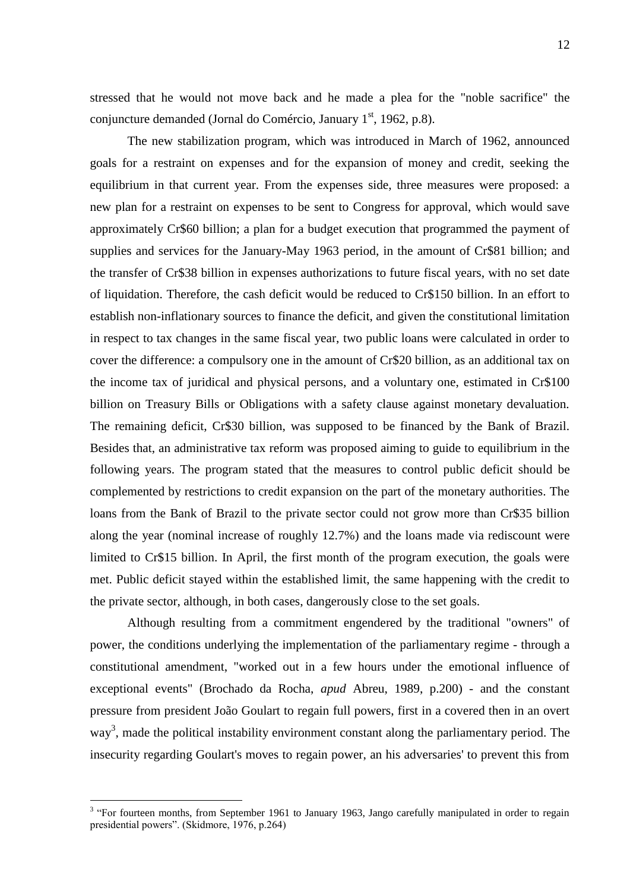stressed that he would not move back and he made a plea for the "noble sacrifice" the conjuncture demanded (Jornal do Comércio, January  $1<sup>st</sup>$ , 1962, p.8).

The new stabilization program, which was introduced in March of 1962, announced goals for a restraint on expenses and for the expansion of money and credit, seeking the equilibrium in that current year. From the expenses side, three measures were proposed: a new plan for a restraint on expenses to be sent to Congress for approval, which would save approximately Cr\$60 billion; a plan for a budget execution that programmed the payment of supplies and services for the January-May 1963 period, in the amount of Cr\$81 billion; and the transfer of Cr\$38 billion in expenses authorizations to future fiscal years, with no set date of liquidation. Therefore, the cash deficit would be reduced to Cr\$150 billion. In an effort to establish non-inflationary sources to finance the deficit, and given the constitutional limitation in respect to tax changes in the same fiscal year, two public loans were calculated in order to cover the difference: a compulsory one in the amount of Cr\$20 billion, as an additional tax on the income tax of juridical and physical persons, and a voluntary one, estimated in Cr\$100 billion on Treasury Bills or Obligations with a safety clause against monetary devaluation. The remaining deficit, Cr\$30 billion, was supposed to be financed by the Bank of Brazil. Besides that, an administrative tax reform was proposed aiming to guide to equilibrium in the following years. The program stated that the measures to control public deficit should be complemented by restrictions to credit expansion on the part of the monetary authorities. The loans from the Bank of Brazil to the private sector could not grow more than Cr\$35 billion along the year (nominal increase of roughly 12.7%) and the loans made via rediscount were limited to Cr\$15 billion. In April, the first month of the program execution, the goals were met. Public deficit stayed within the established limit, the same happening with the credit to the private sector, although, in both cases, dangerously close to the set goals.

Although resulting from a commitment engendered by the traditional "owners" of power, the conditions underlying the implementation of the parliamentary regime - through a constitutional amendment, "worked out in a few hours under the emotional influence of exceptional events" (Brochado da Rocha, *apud* Abreu, 1989, p.200) - and the constant pressure from president João Goulart to regain full powers, first in a covered then in an overt way<sup>3</sup>, made the political instability environment constant along the parliamentary period. The insecurity regarding Goulart's moves to regain power, an his adversaries' to prevent this from

<u>.</u>

<sup>&</sup>lt;sup>3</sup> "For fourteen months, from September 1961 to January 1963, Jango carefully manipulated in order to regain presidential powers". (Skidmore, 1976, p.264)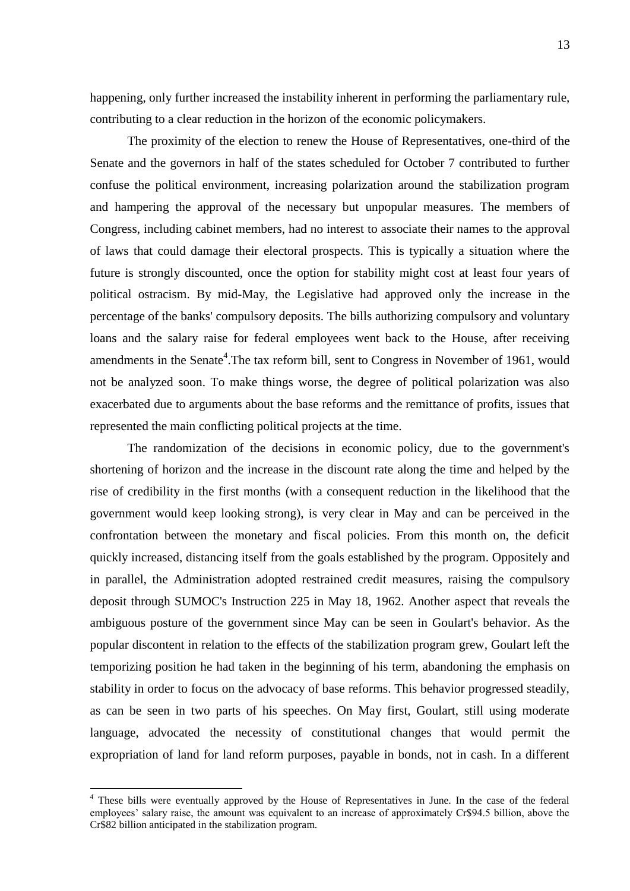happening, only further increased the instability inherent in performing the parliamentary rule, contributing to a clear reduction in the horizon of the economic policymakers.

The proximity of the election to renew the House of Representatives, one-third of the Senate and the governors in half of the states scheduled for October 7 contributed to further confuse the political environment, increasing polarization around the stabilization program and hampering the approval of the necessary but unpopular measures. The members of Congress, including cabinet members, had no interest to associate their names to the approval of laws that could damage their electoral prospects. This is typically a situation where the future is strongly discounted, once the option for stability might cost at least four years of political ostracism. By mid-May, the Legislative had approved only the increase in the percentage of the banks' compulsory deposits. The bills authorizing compulsory and voluntary loans and the salary raise for federal employees went back to the House, after receiving amendments in the Senate<sup>4</sup>. The tax reform bill, sent to Congress in November of 1961, would not be analyzed soon. To make things worse, the degree of political polarization was also exacerbated due to arguments about the base reforms and the remittance of profits, issues that represented the main conflicting political projects at the time.

The randomization of the decisions in economic policy, due to the government's shortening of horizon and the increase in the discount rate along the time and helped by the rise of credibility in the first months (with a consequent reduction in the likelihood that the government would keep looking strong), is very clear in May and can be perceived in the confrontation between the monetary and fiscal policies. From this month on, the deficit quickly increased, distancing itself from the goals established by the program. Oppositely and in parallel, the Administration adopted restrained credit measures, raising the compulsory deposit through SUMOC's Instruction 225 in May 18, 1962. Another aspect that reveals the ambiguous posture of the government since May can be seen in Goulart's behavior. As the popular discontent in relation to the effects of the stabilization program grew, Goulart left the temporizing position he had taken in the beginning of his term, abandoning the emphasis on stability in order to focus on the advocacy of base reforms. This behavior progressed steadily, as can be seen in two parts of his speeches. On May first, Goulart, still using moderate language, advocated the necessity of constitutional changes that would permit the expropriation of land for land reform purposes, payable in bonds, not in cash. In a different

<u>.</u>

<sup>&</sup>lt;sup>4</sup> These bills were eventually approved by the House of Representatives in June. In the case of the federal employees' salary raise, the amount was equivalent to an increase of approximately Cr\$94.5 billion, above the Cr\$82 billion anticipated in the stabilization program.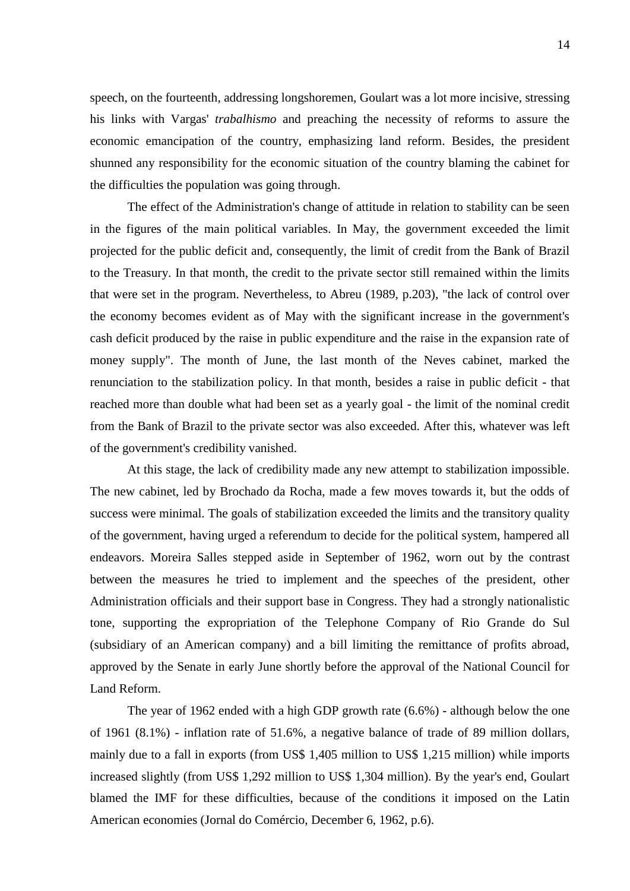speech, on the fourteenth, addressing longshoremen, Goulart was a lot more incisive, stressing his links with Vargas' *trabalhismo* and preaching the necessity of reforms to assure the economic emancipation of the country, emphasizing land reform. Besides, the president shunned any responsibility for the economic situation of the country blaming the cabinet for the difficulties the population was going through.

The effect of the Administration's change of attitude in relation to stability can be seen in the figures of the main political variables. In May, the government exceeded the limit projected for the public deficit and, consequently, the limit of credit from the Bank of Brazil to the Treasury. In that month, the credit to the private sector still remained within the limits that were set in the program. Nevertheless, to Abreu (1989, p.203), "the lack of control over the economy becomes evident as of May with the significant increase in the government's cash deficit produced by the raise in public expenditure and the raise in the expansion rate of money supply". The month of June, the last month of the Neves cabinet, marked the renunciation to the stabilization policy. In that month, besides a raise in public deficit - that reached more than double what had been set as a yearly goal - the limit of the nominal credit from the Bank of Brazil to the private sector was also exceeded. After this, whatever was left of the government's credibility vanished.

At this stage, the lack of credibility made any new attempt to stabilization impossible. The new cabinet, led by Brochado da Rocha, made a few moves towards it, but the odds of success were minimal. The goals of stabilization exceeded the limits and the transitory quality of the government, having urged a referendum to decide for the political system, hampered all endeavors. Moreira Salles stepped aside in September of 1962, worn out by the contrast between the measures he tried to implement and the speeches of the president, other Administration officials and their support base in Congress. They had a strongly nationalistic tone, supporting the expropriation of the Telephone Company of Rio Grande do Sul (subsidiary of an American company) and a bill limiting the remittance of profits abroad, approved by the Senate in early June shortly before the approval of the National Council for Land Reform.

The year of 1962 ended with a high GDP growth rate (6.6%) - although below the one of 1961 (8.1%) - inflation rate of 51.6%, a negative balance of trade of 89 million dollars, mainly due to a fall in exports (from US\$ 1,405 million to US\$ 1,215 million) while imports increased slightly (from US\$ 1,292 million to US\$ 1,304 million). By the year's end, Goulart blamed the IMF for these difficulties, because of the conditions it imposed on the Latin American economies (Jornal do Comércio, December 6, 1962, p.6).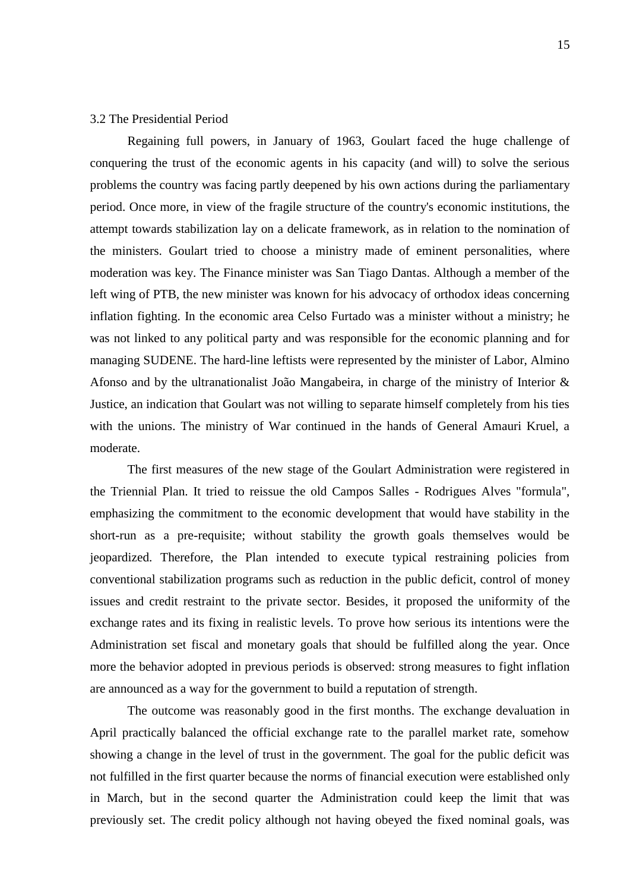#### 3.2 The Presidential Period

Regaining full powers, in January of 1963, Goulart faced the huge challenge of conquering the trust of the economic agents in his capacity (and will) to solve the serious problems the country was facing partly deepened by his own actions during the parliamentary period. Once more, in view of the fragile structure of the country's economic institutions, the attempt towards stabilization lay on a delicate framework, as in relation to the nomination of the ministers. Goulart tried to choose a ministry made of eminent personalities, where moderation was key. The Finance minister was San Tiago Dantas. Although a member of the left wing of PTB, the new minister was known for his advocacy of orthodox ideas concerning inflation fighting. In the economic area Celso Furtado was a minister without a ministry; he was not linked to any political party and was responsible for the economic planning and for managing SUDENE. The hard-line leftists were represented by the minister of Labor, Almino Afonso and by the ultranationalist João Mangabeira, in charge of the ministry of Interior & Justice, an indication that Goulart was not willing to separate himself completely from his ties with the unions. The ministry of War continued in the hands of General Amauri Kruel, a moderate.

The first measures of the new stage of the Goulart Administration were registered in the Triennial Plan. It tried to reissue the old Campos Salles - Rodrigues Alves "formula", emphasizing the commitment to the economic development that would have stability in the short-run as a pre-requisite; without stability the growth goals themselves would be jeopardized. Therefore, the Plan intended to execute typical restraining policies from conventional stabilization programs such as reduction in the public deficit, control of money issues and credit restraint to the private sector. Besides, it proposed the uniformity of the exchange rates and its fixing in realistic levels. To prove how serious its intentions were the Administration set fiscal and monetary goals that should be fulfilled along the year. Once more the behavior adopted in previous periods is observed: strong measures to fight inflation are announced as a way for the government to build a reputation of strength.

The outcome was reasonably good in the first months. The exchange devaluation in April practically balanced the official exchange rate to the parallel market rate, somehow showing a change in the level of trust in the government. The goal for the public deficit was not fulfilled in the first quarter because the norms of financial execution were established only in March, but in the second quarter the Administration could keep the limit that was previously set. The credit policy although not having obeyed the fixed nominal goals, was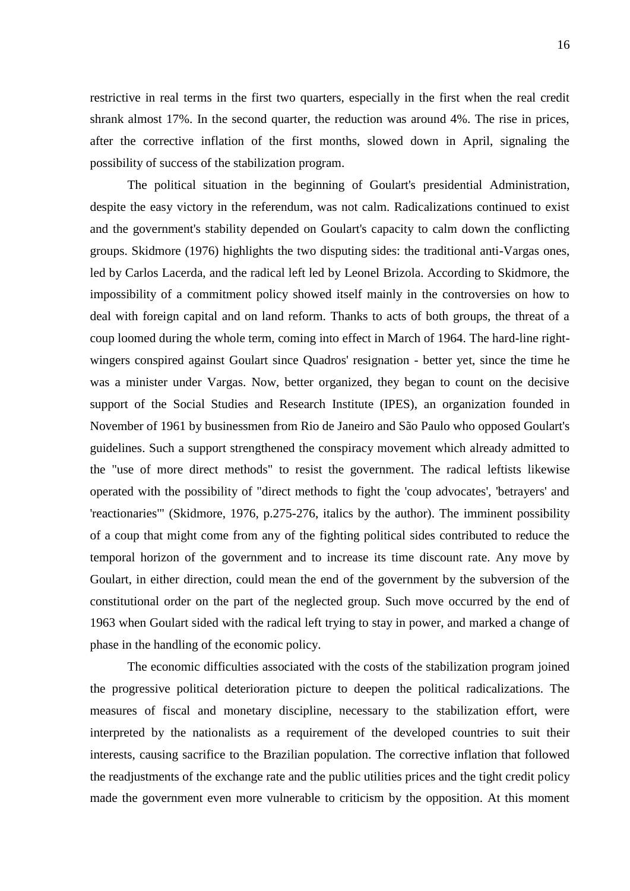restrictive in real terms in the first two quarters, especially in the first when the real credit shrank almost 17%. In the second quarter, the reduction was around 4%. The rise in prices, after the corrective inflation of the first months, slowed down in April, signaling the possibility of success of the stabilization program.

The political situation in the beginning of Goulart's presidential Administration, despite the easy victory in the referendum, was not calm. Radicalizations continued to exist and the government's stability depended on Goulart's capacity to calm down the conflicting groups. Skidmore (1976) highlights the two disputing sides: the traditional anti-Vargas ones, led by Carlos Lacerda, and the radical left led by Leonel Brizola. According to Skidmore, the impossibility of a commitment policy showed itself mainly in the controversies on how to deal with foreign capital and on land reform. Thanks to acts of both groups, the threat of a coup loomed during the whole term, coming into effect in March of 1964. The hard-line rightwingers conspired against Goulart since Quadros' resignation - better yet, since the time he was a minister under Vargas. Now, better organized, they began to count on the decisive support of the Social Studies and Research Institute (IPES), an organization founded in November of 1961 by businessmen from Rio de Janeiro and São Paulo who opposed Goulart's guidelines. Such a support strengthened the conspiracy movement which already admitted to the "use of more direct methods" to resist the government. The radical leftists likewise operated with the possibility of "direct methods to fight the 'coup advocates', 'betrayers' and 'reactionaries'" (Skidmore, 1976, p.275-276, italics by the author). The imminent possibility of a coup that might come from any of the fighting political sides contributed to reduce the temporal horizon of the government and to increase its time discount rate. Any move by Goulart, in either direction, could mean the end of the government by the subversion of the constitutional order on the part of the neglected group. Such move occurred by the end of 1963 when Goulart sided with the radical left trying to stay in power, and marked a change of phase in the handling of the economic policy.

The economic difficulties associated with the costs of the stabilization program joined the progressive political deterioration picture to deepen the political radicalizations. The measures of fiscal and monetary discipline, necessary to the stabilization effort, were interpreted by the nationalists as a requirement of the developed countries to suit their interests, causing sacrifice to the Brazilian population. The corrective inflation that followed the readjustments of the exchange rate and the public utilities prices and the tight credit policy made the government even more vulnerable to criticism by the opposition. At this moment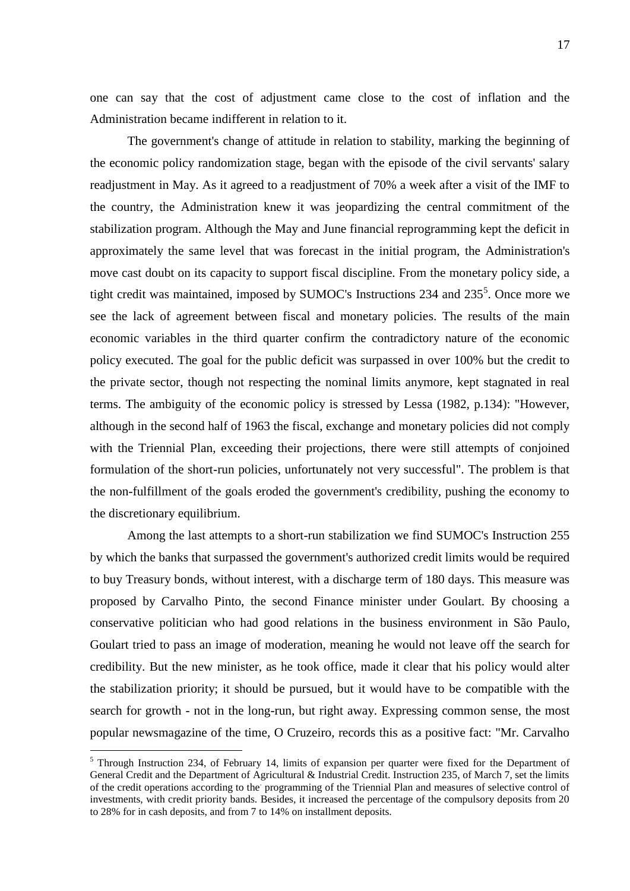one can say that the cost of adjustment came close to the cost of inflation and the Administration became indifferent in relation to it.

The government's change of attitude in relation to stability, marking the beginning of the economic policy randomization stage, began with the episode of the civil servants' salary readjustment in May. As it agreed to a readjustment of 70% a week after a visit of the IMF to the country, the Administration knew it was jeopardizing the central commitment of the stabilization program. Although the May and June financial reprogramming kept the deficit in approximately the same level that was forecast in the initial program, the Administration's move cast doubt on its capacity to support fiscal discipline. From the monetary policy side, a tight credit was maintained, imposed by SUMOC's Instructions 234 and  $235^5$ . Once more we see the lack of agreement between fiscal and monetary policies. The results of the main economic variables in the third quarter confirm the contradictory nature of the economic policy executed. The goal for the public deficit was surpassed in over 100% but the credit to the private sector, though not respecting the nominal limits anymore, kept stagnated in real terms. The ambiguity of the economic policy is stressed by Lessa (1982, p.134): "However, although in the second half of 1963 the fiscal, exchange and monetary policies did not comply with the Triennial Plan, exceeding their projections, there were still attempts of conjoined formulation of the short-run policies, unfortunately not very successful". The problem is that the non-fulfillment of the goals eroded the government's credibility, pushing the economy to the discretionary equilibrium.

Among the last attempts to a short-run stabilization we find SUMOC's Instruction 255 by which the banks that surpassed the government's authorized credit limits would be required to buy Treasury bonds, without interest, with a discharge term of 180 days. This measure was proposed by Carvalho Pinto, the second Finance minister under Goulart. By choosing a conservative politician who had good relations in the business environment in São Paulo, Goulart tried to pass an image of moderation, meaning he would not leave off the search for credibility. But the new minister, as he took office, made it clear that his policy would alter the stabilization priority; it should be pursued, but it would have to be compatible with the search for growth - not in the long-run, but right away. Expressing common sense, the most popular newsmagazine of the time, O Cruzeiro, records this as a positive fact: "Mr. Carvalho

<u>.</u>

<sup>&</sup>lt;sup>5</sup> Through Instruction 234, of February 14, limits of expansion per quarter were fixed for the Department of General Credit and the Department of Agricultural & Industrial Credit. Instruction 235, of March 7, set the limits of the credit operations according to the programming of the Triennial Plan and measures of selective control of investments, with credit priority bands. Besides, it increased the percentage of the compulsory deposits from 20 to 28% for in cash deposits, and from 7 to 14% on installment deposits.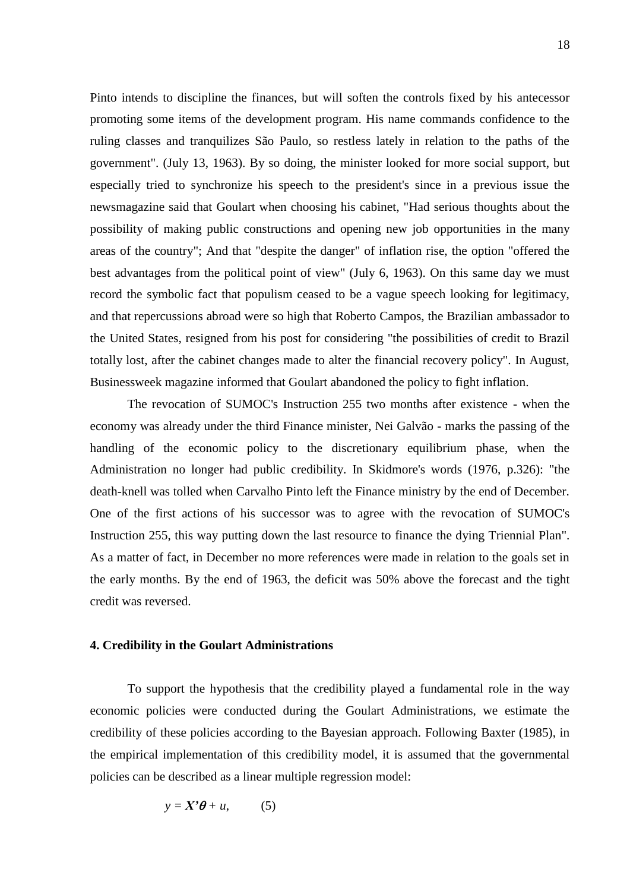Pinto intends to discipline the finances, but will soften the controls fixed by his antecessor promoting some items of the development program. His name commands confidence to the ruling classes and tranquilizes São Paulo, so restless lately in relation to the paths of the government". (July 13, 1963). By so doing, the minister looked for more social support, but especially tried to synchronize his speech to the president's since in a previous issue the newsmagazine said that Goulart when choosing his cabinet, "Had serious thoughts about the possibility of making public constructions and opening new job opportunities in the many areas of the country"; And that "despite the danger" of inflation rise, the option "offered the best advantages from the political point of view" (July 6, 1963). On this same day we must record the symbolic fact that populism ceased to be a vague speech looking for legitimacy, and that repercussions abroad were so high that Roberto Campos, the Brazilian ambassador to the United States, resigned from his post for considering "the possibilities of credit to Brazil totally lost, after the cabinet changes made to alter the financial recovery policy". In August, Businessweek magazine informed that Goulart abandoned the policy to fight inflation.

The revocation of SUMOC's Instruction 255 two months after existence - when the economy was already under the third Finance minister, Nei Galvão - marks the passing of the handling of the economic policy to the discretionary equilibrium phase, when the Administration no longer had public credibility. In Skidmore's words (1976, p.326): "the death-knell was tolled when Carvalho Pinto left the Finance ministry by the end of December. One of the first actions of his successor was to agree with the revocation of SUMOC's Instruction 255, this way putting down the last resource to finance the dying Triennial Plan". As a matter of fact, in December no more references were made in relation to the goals set in the early months. By the end of 1963, the deficit was 50% above the forecast and the tight credit was reversed.

### **4. Credibility in the Goulart Administrations**

To support the hypothesis that the credibility played a fundamental role in the way economic policies were conducted during the Goulart Administrations, we estimate the credibility of these policies according to the Bayesian approach. Following Baxter (1985), in the empirical implementation of this credibility model, it is assumed that the governmental policies can be described as a linear multiple regression model:

$$
y = X'\theta + u, \qquad (5)
$$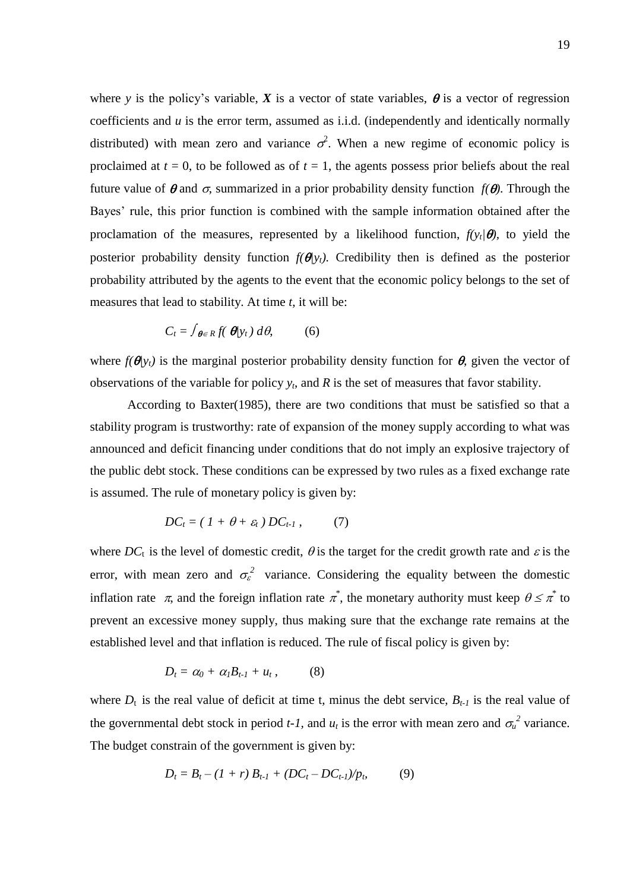where *y* is the policy's variable, *X* is a vector of state variables,  $\theta$  is a vector of regression coefficients and *u* is the error term, assumed as i.i.d. (independently and identically normally distributed) with mean zero and variance  $\sigma^2$ . When a new regime of economic policy is proclaimed at  $t = 0$ , to be followed as of  $t = 1$ , the agents possess prior beliefs about the real future value of  $\theta$  and  $\sigma$ , summarized in a prior probability density function  $f(\theta)$ . Through the Bayes' rule, this prior function is combined with the sample information obtained after the proclamation of the measures, represented by a likelihood function,  $f(y_t|\theta)$ , to yield the posterior probability density function  $f(\theta|y_t)$ . Credibility then is defined as the posterior probability attributed by the agents to the event that the economic policy belongs to the set of measures that lead to stability. At time *t*, it will be:

$$
C_t = \int_{\boldsymbol{\theta} \in R} f(\boldsymbol{\theta} | y_t) \, d\boldsymbol{\theta}, \tag{6}
$$

where  $f(\theta|y_t)$  is the marginal posterior probability density function for  $\theta$ , given the vector of observations of the variable for policy  $y_t$ , and  $R$  is the set of measures that favor stability.

According to Baxter(1985), there are two conditions that must be satisfied so that a stability program is trustworthy: rate of expansion of the money supply according to what was announced and deficit financing under conditions that do not imply an explosive trajectory of the public debt stock. These conditions can be expressed by two rules as a fixed exchange rate is assumed. The rule of monetary policy is given by:

$$
DC_t = (1 + \theta + \varepsilon_t) DC_{t-1}, \qquad (7)
$$

where  $DC_t$  is the level of domestic credit,  $\theta$  is the target for the credit growth rate and  $\varepsilon$  is the error, with mean zero and  $\sigma_{\varepsilon}^2$  variance. Considering the equality between the domestic inflation rate  $\pi$ , and the foreign inflation rate  $\pi^*$ , the monetary authority must keep  $\theta \leq \pi^*$  to prevent an excessive money supply, thus making sure that the exchange rate remains at the established level and that inflation is reduced. The rule of fiscal policy is given by:

$$
D_t = \alpha_0 + \alpha_l B_{t-l} + u_t, \qquad (8)
$$

where  $D_t$  is the real value of deficit at time t, minus the debt service,  $B_{t-1}$  is the real value of the governmental debt stock in period *t-1*, and  $u_t$  is the error with mean zero and  $\sigma_u^2$  variance. The budget constrain of the government is given by:

$$
D_t = B_t - (1+r) B_{t-1} + (DC_t - DC_{t-1})/p_t, \tag{9}
$$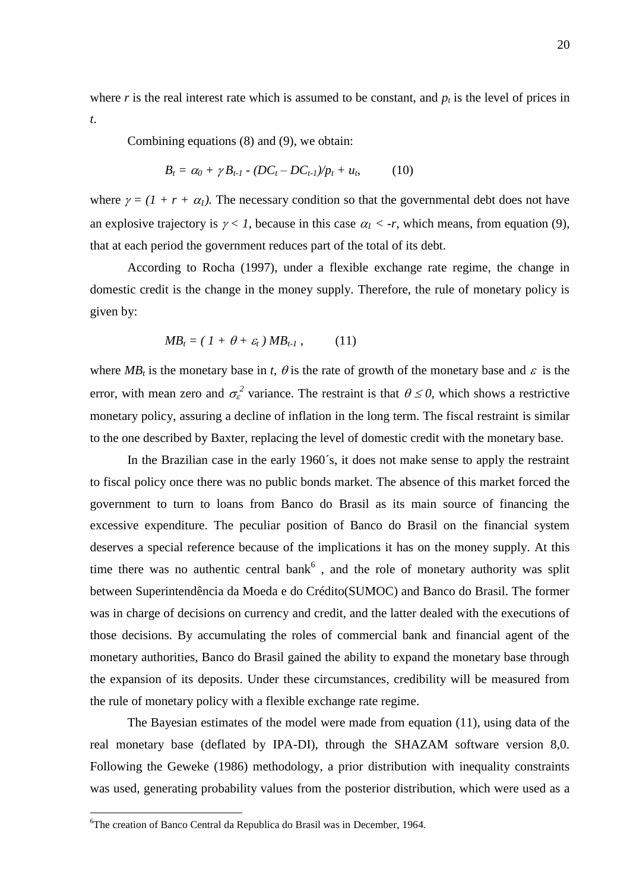where *r* is the real interest rate which is assumed to be constant, and  $p_t$  is the level of prices in *t*.

Combining equations (8) and (9), we obtain:

$$
B_t = \alpha_0 + \gamma B_{t-1} \cdot (DC_t - DC_{t-1})/p_t + u_t, \qquad (10)
$$

where  $\gamma = (1 + r + \alpha_l)$ . The necessary condition so that the governmental debt does not have an explosive trajectory is  $\gamma < 1$ , because in this case  $\alpha_1 < -r$ , which means, from equation (9), that at each period the government reduces part of the total of its debt.

According to Rocha (1997), under a flexible exchange rate regime, the change in domestic credit is the change in the money supply. Therefore, the rule of monetary policy is given by:

$$
MB_t = (1 + \theta + \varepsilon_t) MB_{t-1}, \qquad (11)
$$

where  $MB<sub>t</sub>$  is the monetary base in *t*,  $\theta$  is the rate of growth of the monetary base and  $\varepsilon$  is the error, with mean zero and  $\sigma_{\varepsilon}^2$  variance. The restraint is that  $\theta \le 0$ , which shows a restrictive monetary policy, assuring a decline of inflation in the long term. The fiscal restraint is similar to the one described by Baxter, replacing the level of domestic credit with the monetary base.

In the Brazilian case in the early 1960´s, it does not make sense to apply the restraint to fiscal policy once there was no public bonds market. The absence of this market forced the government to turn to loans from Banco do Brasil as its main source of financing the excessive expenditure. The peculiar position of Banco do Brasil on the financial system deserves a special reference because of the implications it has on the money supply. At this time there was no authentic central bank<sup> $6$ </sup>, and the role of monetary authority was split between Superintendência da Moeda e do Crédito(SUMOC) and Banco do Brasil. The former was in charge of decisions on currency and credit, and the latter dealed with the executions of those decisions. By accumulating the roles of commercial bank and financial agent of the monetary authorities, Banco do Brasil gained the ability to expand the monetary base through the expansion of its deposits. Under these circumstances, credibility will be measured from the rule of monetary policy with a flexible exchange rate regime.

The Bayesian estimates of the model were made from equation (11), using data of the real monetary base (deflated by IPA-DI), through the SHAZAM software version 8,0. Following the Geweke (1986) methodology, a prior distribution with inequality constraints was used, generating probability values from the posterior distribution, which were used as a

1

<sup>6</sup>The creation of Banco Central da Republica do Brasil was in December, 1964.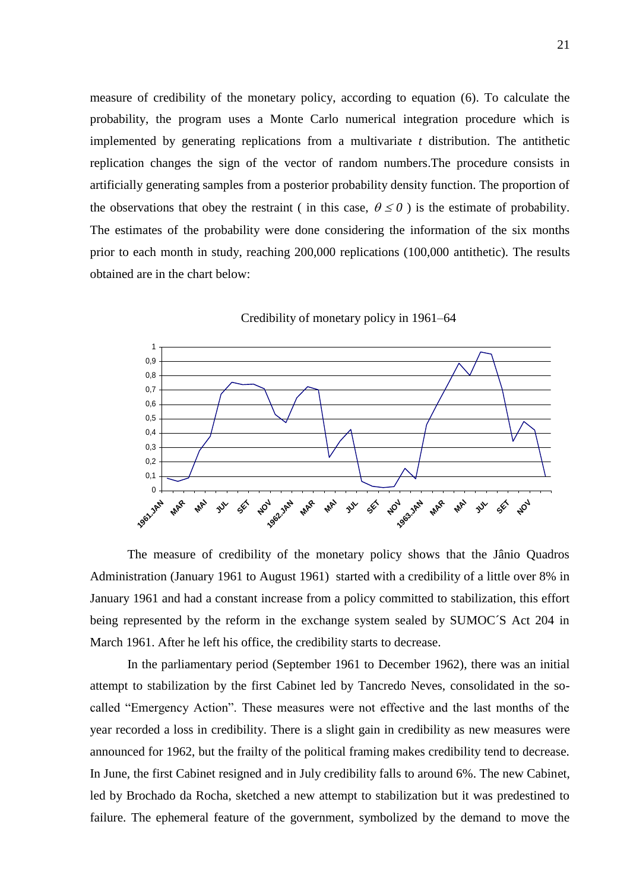measure of credibility of the monetary policy, according to equation (6). To calculate the probability, the program uses a Monte Carlo numerical integration procedure which is implemented by generating replications from a multivariate *t* distribution. The antithetic replication changes the sign of the vector of random numbers.The procedure consists in artificially generating samples from a posterior probability density function. The proportion of the observations that obey the restraint (in this case,  $\theta \le 0$ ) is the estimate of probability. The estimates of the probability were done considering the information of the six months prior to each month in study, reaching 200,000 replications (100,000 antithetic). The results obtained are in the chart below:



Credibility of monetary policy in 1961–64

The measure of credibility of the monetary policy shows that the Jânio Quadros Administration (January 1961 to August 1961) started with a credibility of a little over 8% in January 1961 and had a constant increase from a policy committed to stabilization, this effort being represented by the reform in the exchange system sealed by SUMOC´S Act 204 in March 1961. After he left his office, the credibility starts to decrease.

In the parliamentary period (September 1961 to December 1962), there was an initial attempt to stabilization by the first Cabinet led by Tancredo Neves, consolidated in the socalled "Emergency Action". These measures were not effective and the last months of the year recorded a loss in credibility. There is a slight gain in credibility as new measures were announced for 1962, but the frailty of the political framing makes credibility tend to decrease. In June, the first Cabinet resigned and in July credibility falls to around 6%. The new Cabinet, led by Brochado da Rocha, sketched a new attempt to stabilization but it was predestined to failure. The ephemeral feature of the government, symbolized by the demand to move the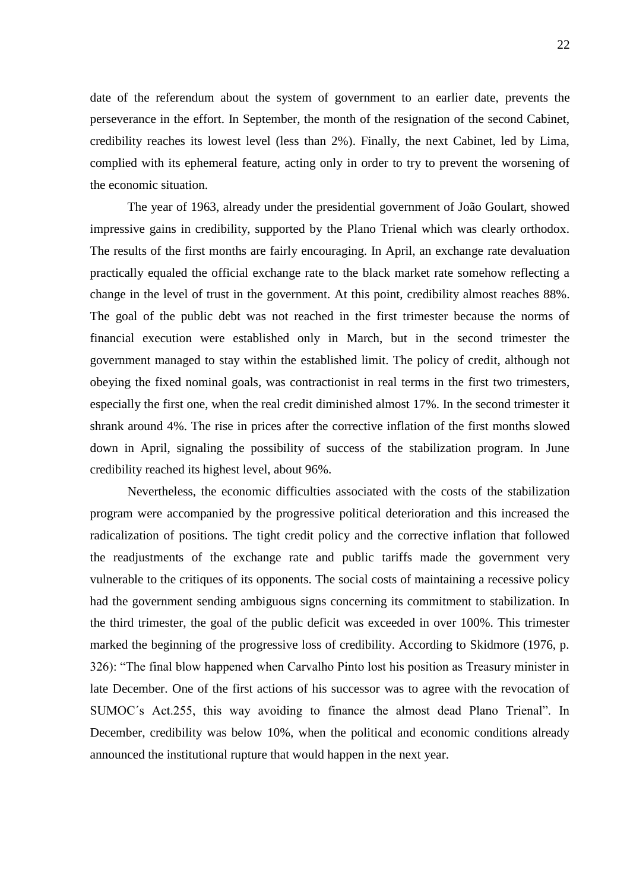date of the referendum about the system of government to an earlier date, prevents the perseverance in the effort. In September, the month of the resignation of the second Cabinet, credibility reaches its lowest level (less than 2%). Finally, the next Cabinet, led by Lima, complied with its ephemeral feature, acting only in order to try to prevent the worsening of the economic situation.

The year of 1963, already under the presidential government of João Goulart, showed impressive gains in credibility, supported by the Plano Trienal which was clearly orthodox. The results of the first months are fairly encouraging. In April, an exchange rate devaluation practically equaled the official exchange rate to the black market rate somehow reflecting a change in the level of trust in the government. At this point, credibility almost reaches 88%. The goal of the public debt was not reached in the first trimester because the norms of financial execution were established only in March, but in the second trimester the government managed to stay within the established limit. The policy of credit, although not obeying the fixed nominal goals, was contractionist in real terms in the first two trimesters, especially the first one, when the real credit diminished almost 17%. In the second trimester it shrank around 4%. The rise in prices after the corrective inflation of the first months slowed down in April, signaling the possibility of success of the stabilization program. In June credibility reached its highest level, about 96%.

Nevertheless, the economic difficulties associated with the costs of the stabilization program were accompanied by the progressive political deterioration and this increased the radicalization of positions. The tight credit policy and the corrective inflation that followed the readjustments of the exchange rate and public tariffs made the government very vulnerable to the critiques of its opponents. The social costs of maintaining a recessive policy had the government sending ambiguous signs concerning its commitment to stabilization. In the third trimester, the goal of the public deficit was exceeded in over 100%. This trimester marked the beginning of the progressive loss of credibility. According to Skidmore (1976, p. 326): "The final blow happened when Carvalho Pinto lost his position as Treasury minister in late December. One of the first actions of his successor was to agree with the revocation of SUMOC´s Act.255, this way avoiding to finance the almost dead Plano Trienal". In December, credibility was below 10%, when the political and economic conditions already announced the institutional rupture that would happen in the next year.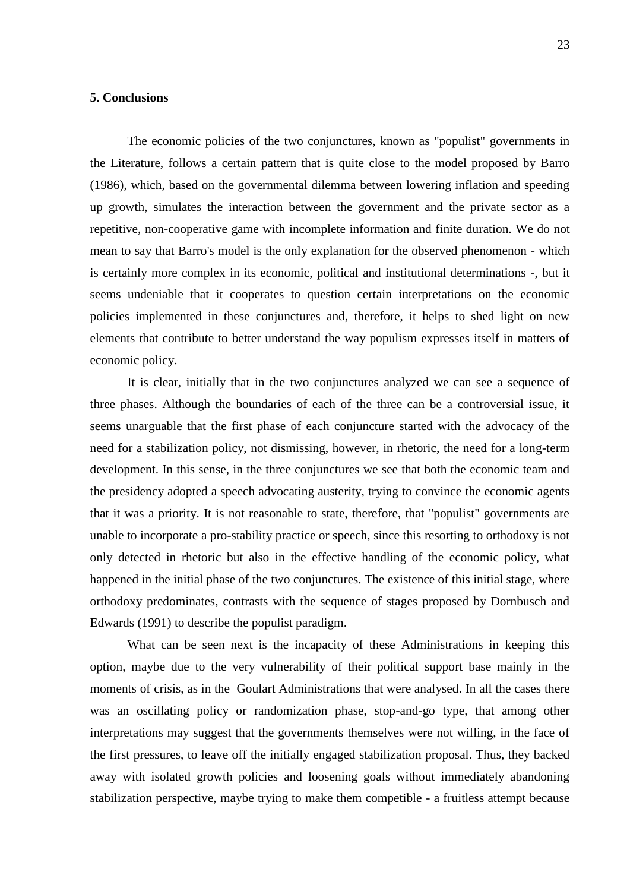### **5. Conclusions**

The economic policies of the two conjunctures, known as "populist" governments in the Literature, follows a certain pattern that is quite close to the model proposed by Barro (1986), which, based on the governmental dilemma between lowering inflation and speeding up growth, simulates the interaction between the government and the private sector as a repetitive, non-cooperative game with incomplete information and finite duration. We do not mean to say that Barro's model is the only explanation for the observed phenomenon - which is certainly more complex in its economic, political and institutional determinations -, but it seems undeniable that it cooperates to question certain interpretations on the economic policies implemented in these conjunctures and, therefore, it helps to shed light on new elements that contribute to better understand the way populism expresses itself in matters of economic policy.

It is clear, initially that in the two conjunctures analyzed we can see a sequence of three phases. Although the boundaries of each of the three can be a controversial issue, it seems unarguable that the first phase of each conjuncture started with the advocacy of the need for a stabilization policy, not dismissing, however, in rhetoric, the need for a long-term development. In this sense, in the three conjunctures we see that both the economic team and the presidency adopted a speech advocating austerity, trying to convince the economic agents that it was a priority. It is not reasonable to state, therefore, that "populist" governments are unable to incorporate a pro-stability practice or speech, since this resorting to orthodoxy is not only detected in rhetoric but also in the effective handling of the economic policy, what happened in the initial phase of the two conjunctures. The existence of this initial stage, where orthodoxy predominates, contrasts with the sequence of stages proposed by Dornbusch and Edwards (1991) to describe the populist paradigm.

What can be seen next is the incapacity of these Administrations in keeping this option, maybe due to the very vulnerability of their political support base mainly in the moments of crisis, as in the Goulart Administrations that were analysed. In all the cases there was an oscillating policy or randomization phase, stop-and-go type, that among other interpretations may suggest that the governments themselves were not willing, in the face of the first pressures, to leave off the initially engaged stabilization proposal. Thus, they backed away with isolated growth policies and loosening goals without immediately abandoning stabilization perspective, maybe trying to make them competible - a fruitless attempt because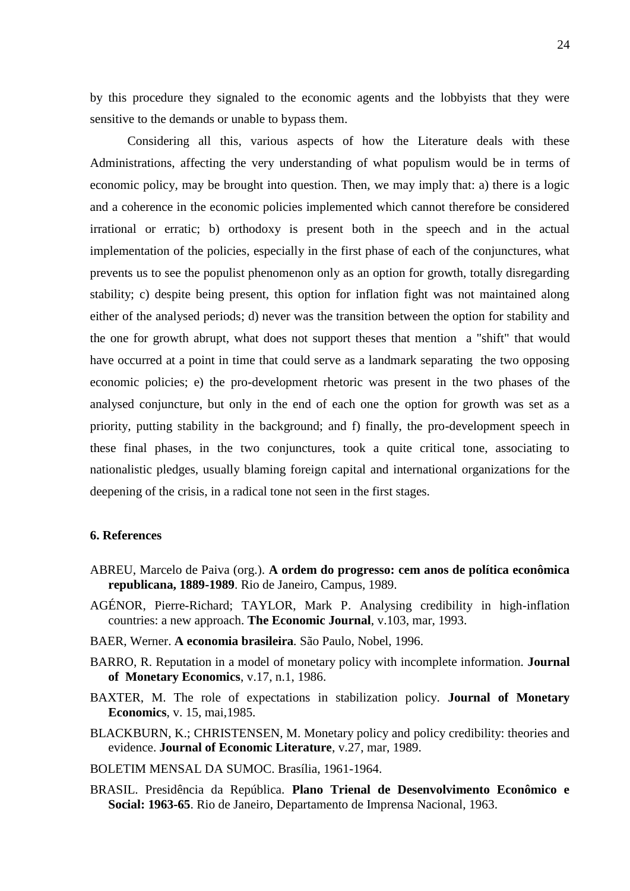by this procedure they signaled to the economic agents and the lobbyists that they were sensitive to the demands or unable to bypass them.

Considering all this, various aspects of how the Literature deals with these Administrations, affecting the very understanding of what populism would be in terms of economic policy, may be brought into question. Then, we may imply that: a) there is a logic and a coherence in the economic policies implemented which cannot therefore be considered irrational or erratic; b) orthodoxy is present both in the speech and in the actual implementation of the policies, especially in the first phase of each of the conjunctures, what prevents us to see the populist phenomenon only as an option for growth, totally disregarding stability; c) despite being present, this option for inflation fight was not maintained along either of the analysed periods; d) never was the transition between the option for stability and the one for growth abrupt, what does not support theses that mention a "shift" that would have occurred at a point in time that could serve as a landmark separating the two opposing economic policies; e) the pro-development rhetoric was present in the two phases of the analysed conjuncture, but only in the end of each one the option for growth was set as a priority, putting stability in the background; and f) finally, the pro-development speech in these final phases, in the two conjunctures, took a quite critical tone, associating to nationalistic pledges, usually blaming foreign capital and international organizations for the deepening of the crisis, in a radical tone not seen in the first stages.

#### **6. References**

- ABREU, Marcelo de Paiva (org.). **A ordem do progresso: cem anos de política econômica republicana, 1889-1989**. Rio de Janeiro, Campus, 1989.
- AGÉNOR, Pierre-Richard; TAYLOR, Mark P. Analysing credibility in high-inflation countries: a new approach. **The Economic Journal**, v.103, mar, 1993.
- BAER, Werner. **A economia brasileira***.* São Paulo, Nobel, 1996.
- BARRO, R. Reputation in a model of monetary policy with incomplete information. **Journal of Monetary Economics**, v.17, n.1, 1986.
- BAXTER, M. The role of expectations in stabilization policy. **Journal of Monetary Economics**, v. 15, mai,1985.
- BLACKBURN, K.; CHRISTENSEN, M. Monetary policy and policy credibility: theories and evidence. **Journal of Economic Literature**, v.27, mar, 1989.
- BOLETIM MENSAL DA SUMOC. Brasília, 1961-1964.
- BRASIL. Presidência da República. **Plano Trienal de Desenvolvimento Econômico e Social: 1963-65**. Rio de Janeiro, Departamento de Imprensa Nacional, 1963.